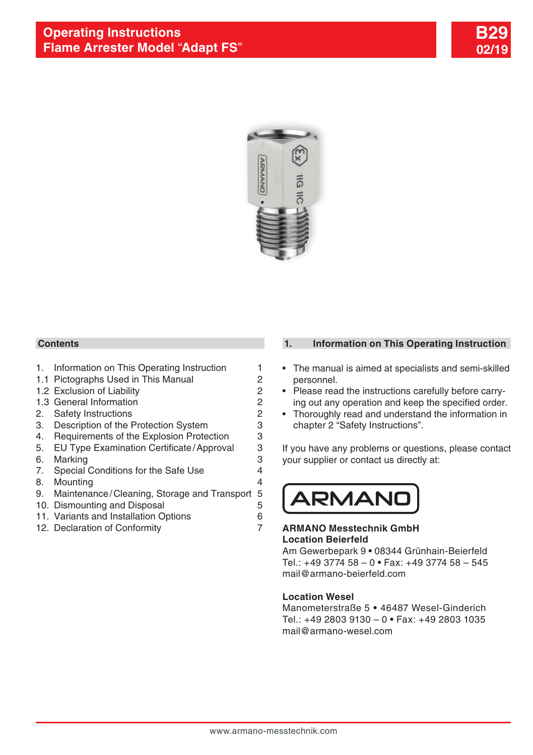



#### **Contents**

- 1. Information on This Operating Instruction 1
- 1.1 [Pictographs Used in This Manual](#page-1-0) 2
- [1.2 Exclusion of Liability](#page-1-0) 2
- 1.3 [General Information](#page-1-0) 2
- 2. [Safety Instructions](#page-1-0) 2
- 3. [Description of the Protection System](#page-2-0) 3
- 4. [Requirements of the Explosion Protection](#page-2-0) 3
- [5. EU Type Examination Certificate/Approval](#page-2-0) 3
- 6. [Marking](#page-2-0) 3
- 7. [Special Conditions for the Safe Use](#page-3-0) 4
- 8. [Mounting](#page-3-0) 4
- 9. [Maintenance/Cleaning, Storage and Transport](#page-4-0) 5
- 10. [Dismounting and Disposal](#page-4-0) **5**
- 11. [Variants and Installation Options](#page-5-0) 6
- 12. [Declaration of Conformity](#page-6-0) **7**

# **1. Information on This Operating Instruction**

- The manual is aimed at specialists and semi-skilled personnel.
- Please read the instructions carefully before carrying out any operation and keep the specified order.
- Thoroughly read and understand the information in chapter 2 "Safety Instructions".

If you have any problems or questions, please contact your supplier or contact us directly at:



## **ARMANO Messtechnik GmbH Location Beierfeld**

Am Gewerbepark 9 **•** 08344 Grünhain-Beierfeld Tel.: +49 3774 58 – 0 **•** Fax: +49 3774 58 – 545 mail@armano-beierfeld.com

#### **Location Wesel**

Manometerstraße 5 **•** 46487 Wesel-Ginderich Tel.: +49 2803 9130 – 0 **•** Fax: +49 2803 1035 mail@armano-wesel.com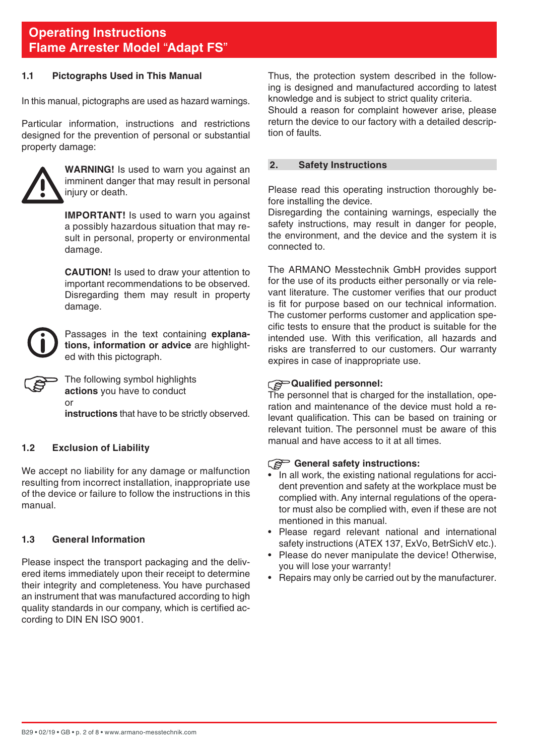## <span id="page-1-0"></span>**1.1 Pictographs Used in This Manual**

In this manual, pictographs are used as hazard warnings.

Particular information, instructions and restrictions designed for the prevention of personal or substantial property damage:



**WARNING!** Is used to warn you against an imminent danger that may result in personal injury or death.

**IMPORTANT!** Is used to warn you against a possibly hazardous situation that may result in personal, property or environmental damage.

 **CAUTION!** Is used to draw your attention to important recommendations to be observed. Disregarding them may result in property damage.



Passages in the text containing **explanations, information or advice** are highlighted with this pictograph.

The following symbol highlights **actions** you have to conduct or

**instructions** that have to be strictly observed.

# **1.2 Exclusion of Liability**

We accept no liability for any damage or malfunction resulting from incorrect installation, inappropriate use of the device or failure to follow the instructions in this manual.

# **1.3 General Information**

Please inspect the transport packaging and the delivered items immediately upon their receipt to determine their integrity and completeness. You have purchased an instrument that was manufactured according to high quality standards in our company, which is certified according to DIN EN ISO 9001.

Thus, the protection system described in the following is designed and manufactured according to latest knowledge and is subject to strict quality criteria.

Should a reason for complaint however arise, please return the device to our factory with a detailed description of faults.

## **2. Safety Instructions**

Please read this operating instruction thoroughly before installing the device.

Disregarding the containing warnings, especially the safety instructions, may result in danger for people, the environment, and the device and the system it is connected to.

The ARMANO Messtechnik GmbH provides support for the use of its products either personally or via relevant literature. The customer verifies that our product is fit for purpose based on our technical information. The customer performs customer and application specific tests to ensure that the product is suitable for the intended use. With this verification, all hazards and risks are transferred to our customers. Our warranty expires in case of inappropriate use.

# **Qualified personnel:**

The personnel that is charged for the installation, operation and maintenance of the device must hold a relevant qualification. This can be based on training or relevant tuition. The personnel must be aware of this manual and have access to it at all times.

# General safety instructions:

- In all work, the existing national regulations for accident prevention and safety at the workplace must be complied with. Any internal regulations of the operator must also be complied with, even if these are not mentioned in this manual.
- Please regard relevant national and international safety instructions (ATEX 137, ExVo, BetrSichV etc.).
- Please do never manipulate the device! Otherwise, you will lose your warranty!
- Repairs may only be carried out by the manufacturer.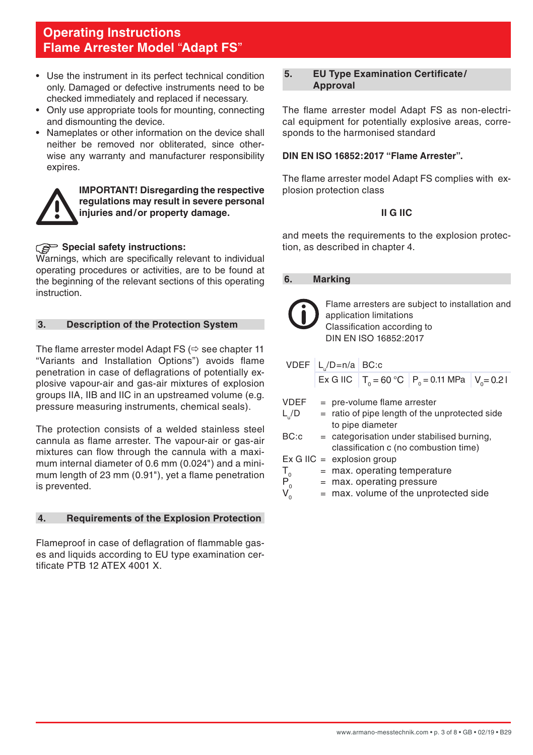- <span id="page-2-0"></span>• Use the instrument in its perfect technical condition only. Damaged or defective instruments need to be checked immediately and replaced if necessary.
- Only use appropriate tools for mounting, connecting and dismounting the device.
- Nameplates or other information on the device shall neither be removed nor obliterated, since otherwise any warranty and manufacturer responsibility expires.



**IMPORTANT! Disregarding the respective regulations may result in severe personal injuries and/or property damage.**

# **Special safety instructions:**

Warnings, which are specifically relevant to individual operating procedures or activities, are to be found at the beginning of the relevant sections of this operating instruction.

# **3. Description of the Protection System**

The flame arrester model Adapt FS  $\leftrightarrow$  see chapter 11 "Variants and Installation Options") avoids flame penetration in case of deflagrations of potentially explosive vapour-air and gas-air mixtures of explosion groups IIA, IIB and IIC in an upstreamed volume (e.g. pressure measuring instruments, chemical seals).

The protection consists of a welded stainless steel cannula as flame arrester. The vapour-air or gas-air mixtures can flow through the cannula with a maximum internal diameter of 0.6 mm (0.024") and a minimum length of 23 mm (0.91"), yet a flame penetration is prevented.

# **4. Requirements of the Explosion Protection**

Flameproof in case of deflagration of flammable gases and liquids according to EU type examination certificate PTB 12 ATEX 4001 X.

#### **5. EU Type Examination Certificate/ Approval**

The flame arrester model Adapt FS as non-electrical equipment for potentially explosive areas, corresponds to the harmonised standard

## **DIN EN ISO 16852:2017 "Flame Arrester".**

The flame arrester model Adapt FS complies with explosion protection class

## **II G IIC**

and meets the requirements to the explosion protection, as described in chapter 4.

#### **6. Marking**

| Flame arresters are subject to installation and<br>application limitations<br>Classification according to<br>DIN EN ISO 16852:2017 |                                                      |  |  |  |  |  |
|------------------------------------------------------------------------------------------------------------------------------------|------------------------------------------------------|--|--|--|--|--|
| $VDEF   L /D=n/a   BC:c$                                                                                                           |                                                      |  |  |  |  |  |
|                                                                                                                                    | Ex G IIC $T_0 = 60 °C$ $P_0 = 0.11$ MPa $V_0 = 0.21$ |  |  |  |  |  |
| VDEF<br>$=$ pre-volume flame arrester<br>$L_{\alpha}/D$<br>$=$ ratio of pipe length of the unprotected side<br>to pipe diameter    |                                                      |  |  |  |  |  |
| BC: c<br>= categorisation under stabilised burning,<br>classification c (no combustion time)                                       |                                                      |  |  |  |  |  |
| $Ex G IIC =$ explosion group                                                                                                       |                                                      |  |  |  |  |  |
| $\mathsf{T}_{_{\scriptscriptstyle{0}}}$<br>$=$ max. operating temperature                                                          |                                                      |  |  |  |  |  |
| $P_0^T$<br>$=$ max. operating pressure                                                                                             |                                                      |  |  |  |  |  |
|                                                                                                                                    | $=$ max. volume of the unprotected side              |  |  |  |  |  |
|                                                                                                                                    |                                                      |  |  |  |  |  |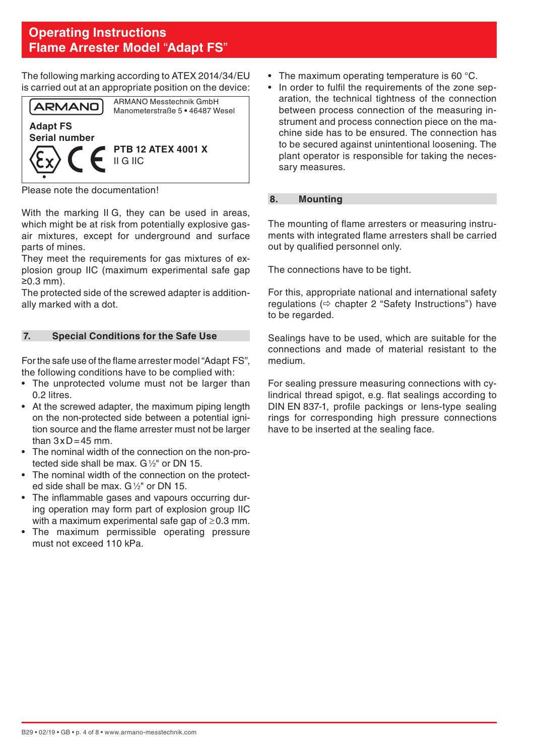<span id="page-3-0"></span>The following marking according to ATEX 2014/34/EU is carried out at an appropriate position on the device:



Please note the documentation!

With the marking II G, they can be used in areas. which might be at risk from potentially explosive gasair mixtures, except for underground and surface parts of mines.

They meet the requirements for gas mixtures of explosion group IIC (maximum experimental safe gap ≥0.3 mm).

The protected side of the screwed adapter is additionally marked with a dot.

# **7. Special Conditions for the Safe Use**

For the safe use of the flame arrester model "Adapt FS", the following conditions have to be complied with:

- The unprotected volume must not be larger than 0.2 litres.
- At the screwed adapter, the maximum piping length on the non-protected side between a potential ignition source and the flame arrester must not be larger than  $3 \times D = 45$  mm.
- The nominal width of the connection on the non-protected side shall be max.  $G\frac{1}{2}$ " or DN 15.
- The nominal width of the connection on the protected side shall be max. G1/2" or DN 15.
- The inflammable gases and vapours occurring during operation may form part of explosion group IIC with a maximum experimental safe gap of ≥0.3 mm.
- The maximum permissible operating pressure must not exceed 110 kPa.
- The maximum operating temperature is 60 °C.
- In order to fulfil the requirements of the zone separation, the technical tightness of the connection between process connection of the measuring instrument and process connection piece on the machine side has to be ensured. The connection has to be secured against unintentional loosening. The plant operator is responsible for taking the necessary measures.

## **8. Mounting**

The mounting of flame arresters or measuring instruments with integrated flame arresters shall be carried out by qualified personnel only.

The connections have to be tight.

For this, appropriate national and international safety regulations  $(\Rightarrow$  chapter 2 "Safety Instructions") have to be regarded.

Sealings have to be used, which are suitable for the connections and made of material resistant to the medium.

For sealing pressure measuring connections with cylindrical thread spigot, e.g. flat sealings according to DIN EN 837-1, profile packings or lens-type sealing rings for corresponding high pressure connections have to be inserted at the sealing face.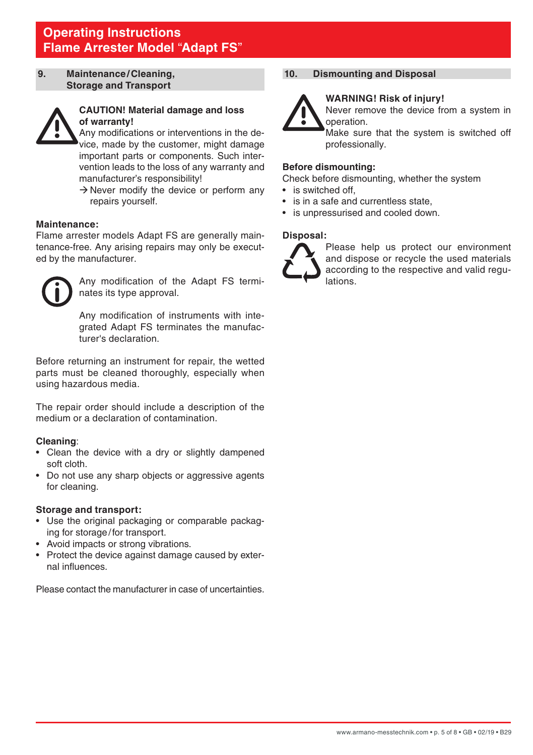#### <span id="page-4-0"></span>**9. Maintenance/Cleaning, Storage and Transport**



## **CAUTION! Material damage and loss of warranty!**

 Any modifications or interventions in the device, made by the customer, might damage important parts or components. Such intervention leads to the loss of any warranty and manufacturer's responsibility!

 $\rightarrow$  Never modify the device or perform any repairs yourself.

#### **Maintenance:**

Flame arrester models Adapt FS are generally maintenance-free. Any arising repairs may only be executed by the manufacturer.



Any modification of the Adapt FS terminates its type approval.

 Any modification of instruments with integrated Adapt FS terminates the manufacturer's declaration.

Before returning an instrument for repair, the wetted parts must be cleaned thoroughly, especially when using hazardous media.

The repair order should include a description of the medium or a declaration of contamination.

#### **Cleaning**:

- Clean the device with a dry or slightly dampened soft cloth.
- Do not use any sharp objects or aggressive agents for cleaning.

#### **Storage and transport:**

- Use the original packaging or comparable packaging for storage/for transport.
- Avoid impacts or strong vibrations.
- Protect the device against damage caused by external influences.

Please contact the manufacturer in case of uncertainties.

# **10. Dismounting and Disposal**

#### **WARNING! Risk of injury!**



Never remove the device from a system in operation.

 Make sure that the system is switched off professionally.

#### **Before dismounting:**

Check before dismounting, whether the system

- is switched off
- is in a safe and currentless state.
- is unpressurised and cooled down.

#### **Disposal:**



Please help us protect our environment and dispose or recycle the used materials according to the respective and valid regulations.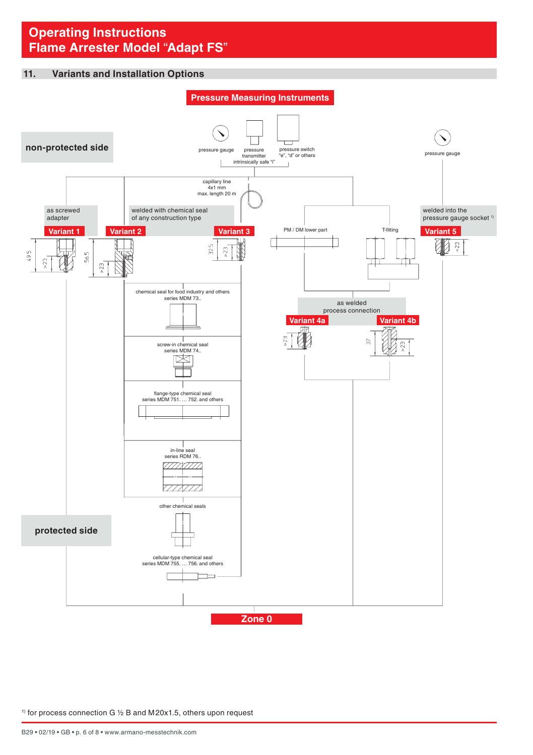#### <span id="page-5-0"></span>**11. Variants and Installation Options**



 $1)$  for process connection G  $1/2$  B and M20x1.5, others upon request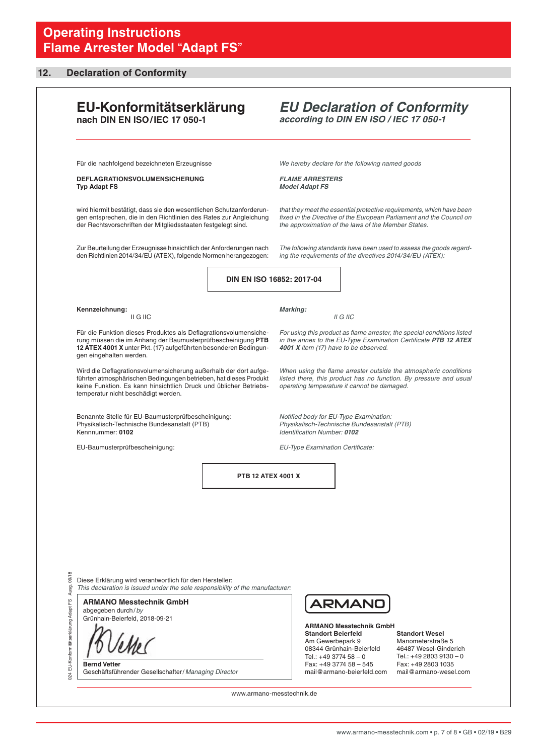# <span id="page-6-0"></span>**12. Declaration of Conformity**

| EU-Konformitätserklärung<br>nach DIN EN ISO/IEC 17 050-1                                                                                                                                                                                          |                    |                                                                                                                                                                                                      | according to DIN EN ISO / IEC 17 050-1                                                                                                                    | <b>EU Declaration of Conformity</b>                                                                                                           |
|---------------------------------------------------------------------------------------------------------------------------------------------------------------------------------------------------------------------------------------------------|--------------------|------------------------------------------------------------------------------------------------------------------------------------------------------------------------------------------------------|-----------------------------------------------------------------------------------------------------------------------------------------------------------|-----------------------------------------------------------------------------------------------------------------------------------------------|
| Für die nachfolgend bezeichneten Erzeugnisse                                                                                                                                                                                                      |                    |                                                                                                                                                                                                      | We hereby declare for the following named goods                                                                                                           |                                                                                                                                               |
| <b>DEFLAGRATIONSVOLUMENSICHERUNG</b><br><b>Typ Adapt FS</b>                                                                                                                                                                                       |                    | <b>FLAME ARRESTERS</b><br><b>Model Adapt FS</b>                                                                                                                                                      |                                                                                                                                                           |                                                                                                                                               |
| wird hiermit bestätigt, dass sie den wesentlichen Schutzanforderun-<br>gen entsprechen, die in den Richtlinien des Rates zur Angleichung<br>der Rechtsvorschriften der Mitgliedsstaaten festgelegt sind.                                          |                    | that they meet the essential protective requirements, which have been<br>fixed in the Directive of the European Parliament and the Council on<br>the approximation of the laws of the Member States. |                                                                                                                                                           |                                                                                                                                               |
| Zur Beurteilung der Erzeugnisse hinsichtlich der Anforderungen nach<br>den Richtlinien 2014/34/EU (ATEX), folgende Normen herangezogen:                                                                                                           |                    |                                                                                                                                                                                                      | ing the requirements of the directives 2014/34/EU (ATEX):                                                                                                 | The following standards have been used to assess the goods regard-                                                                            |
|                                                                                                                                                                                                                                                   |                    | DIN EN ISO 16852: 2017-04                                                                                                                                                                            |                                                                                                                                                           |                                                                                                                                               |
| Kennzeichnung:<br>II G IIC                                                                                                                                                                                                                        |                    | Marking:                                                                                                                                                                                             | II G IIC                                                                                                                                                  |                                                                                                                                               |
| Für die Funktion dieses Produktes als Deflagrationsvolumensiche-<br>rung müssen die im Anhang der Baumusterprüfbescheinigung PTB<br>12 ATEX 4001 X unter Pkt. (17) aufgeführten besonderen Bedingun-<br>gen eingehalten werden.                   |                    |                                                                                                                                                                                                      | 4001 X item (17) have to be observed.                                                                                                                     | For using this product as flame arrester, the special conditions listed<br>in the annex to the EU-Type Examination Certificate PTB 12 ATEX    |
| Wird die Deflagrationsvolumensicherung außerhalb der dort aufge-<br>führten atmosphärischen Bedingungen betrieben, hat dieses Produkt<br>keine Funktion. Es kann hinsichtlich Druck und üblicher Betriebs-<br>temperatur nicht beschädigt werden. |                    |                                                                                                                                                                                                      | operating temperature it cannot be damaged.                                                                                                               | When using the flame arrester outside the atmospheric conditions<br>listed there, this product has no function. By pressure and usual         |
| Benannte Stelle für EU-Baumusterprüfbescheinigung:<br>Physikalisch-Technische Bundesanstalt (PTB)<br>Kennnummer: 0102                                                                                                                             |                    | Notified body for EU-Type Examination:<br>Physikalisch-Technische Bundesanstalt (PTB)<br>Identification Number: 0102                                                                                 |                                                                                                                                                           |                                                                                                                                               |
| EU-Baumusterprüfbescheinigung:                                                                                                                                                                                                                    |                    | EU-Type Examination Certificate:                                                                                                                                                                     |                                                                                                                                                           |                                                                                                                                               |
|                                                                                                                                                                                                                                                   | PTB 12 ATEX 4001 X |                                                                                                                                                                                                      |                                                                                                                                                           |                                                                                                                                               |
|                                                                                                                                                                                                                                                   |                    |                                                                                                                                                                                                      |                                                                                                                                                           |                                                                                                                                               |
|                                                                                                                                                                                                                                                   |                    |                                                                                                                                                                                                      |                                                                                                                                                           |                                                                                                                                               |
|                                                                                                                                                                                                                                                   |                    |                                                                                                                                                                                                      |                                                                                                                                                           |                                                                                                                                               |
| Diese Erklärung wird verantwortlich für den Hersteller:<br>This declaration is issued under the sole responsibility of the manufacturer:                                                                                                          |                    |                                                                                                                                                                                                      |                                                                                                                                                           |                                                                                                                                               |
| <b>ARMANO Messtechnik GmbH</b><br>abgegeben durch/by<br>Grünhain-Beierfeld, 2018-09-21                                                                                                                                                            |                    |                                                                                                                                                                                                      | ARMAND<br><b>ARMANO Messtechnik GmbH</b>                                                                                                                  |                                                                                                                                               |
| <b>Bernd Vetter</b>                                                                                                                                                                                                                               |                    |                                                                                                                                                                                                      | <b>Standort Beierfeld</b><br>Am Gewerbepark 9<br>08344 Grünhain-Beierfeld<br>Tel.: +49 3774 58 - 0<br>Fax: +49 3774 58 - 545<br>mail@armano-beierfeld.com | <b>Standort Wesel</b><br>Manometerstraße 5<br>46487 Wesel-Ginderich<br>Tel.: +49 2803 9130 - 0<br>Fax: +49 2803 1035<br>mail@armano-wesel.com |
| Geschäftsführender Gesellschafter/Managing Director                                                                                                                                                                                               |                    |                                                                                                                                                                                                      |                                                                                                                                                           |                                                                                                                                               |